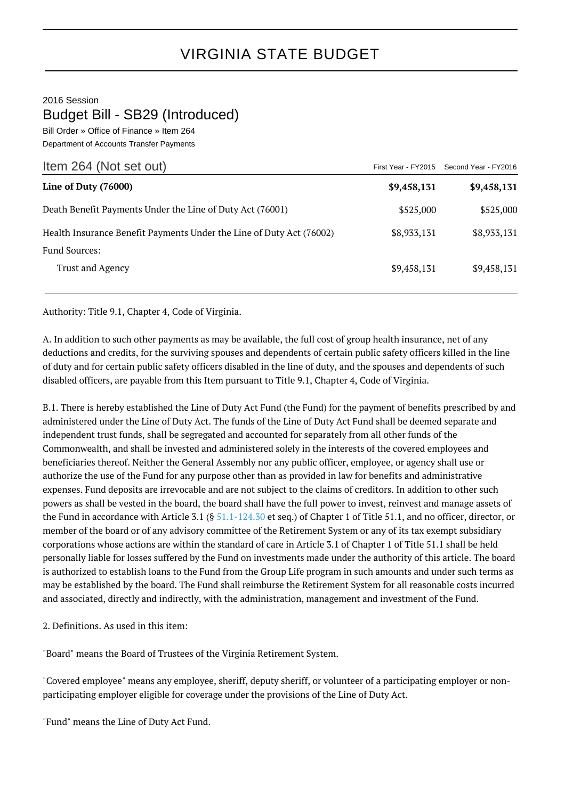## VIRGINIA STATE BUDGET

## 2016 Session Budget Bill - SB29 (Introduced)

Bill Order » Office of Finance » Item 264 Department of Accounts Transfer Payments

| Item 264 (Not set out)                                               |             | First Year - FY2015 Second Year - FY2016 |
|----------------------------------------------------------------------|-------------|------------------------------------------|
| Line of Duty (76000)                                                 | \$9,458,131 | \$9,458,131                              |
| Death Benefit Payments Under the Line of Duty Act (76001)            | \$525,000   | \$525,000                                |
| Health Insurance Benefit Payments Under the Line of Duty Act (76002) | \$8,933,131 | \$8,933,131                              |
| <b>Fund Sources:</b>                                                 |             |                                          |
| Trust and Agency                                                     | \$9,458,131 | \$9,458,131                              |

Authority: Title 9.1, Chapter 4, Code of Virginia.

A. In addition to such other payments as may be available, the full cost of group health insurance, net of any deductions and credits, for the surviving spouses and dependents of certain public safety officers killed in the line of duty and for certain public safety officers disabled in the line of duty, and the spouses and dependents of such disabled officers, are payable from this Item pursuant to Title 9.1, Chapter 4, Code of Virginia.

B.1. There is hereby established the Line of Duty Act Fund (the Fund) for the payment of benefits prescribed by and administered under the Line of Duty Act. The funds of the Line of Duty Act Fund shall be deemed separate and independent trust funds, shall be segregated and accounted for separately from all other funds of the Commonwealth, and shall be invested and administered solely in the interests of the covered employees and beneficiaries thereof. Neither the General Assembly nor any public officer, employee, or agency shall use or authorize the use of the Fund for any purpose other than as provided in law for benefits and administrative expenses. Fund deposits are irrevocable and are not subject to the claims of creditors. In addition to other such powers as shall be vested in the board, the board shall have the full power to invest, reinvest and manage assets of the Fund in accordance with Article 3.1 (§ [51.1-124.30](http://law.lis.virginia.gov/vacode/51.1-124.30/) et seq.) of Chapter 1 of Title 51.1, and no officer, director, or member of the board or of any advisory committee of the Retirement System or any of its tax exempt subsidiary corporations whose actions are within the standard of care in Article 3.1 of Chapter 1 of Title 51.1 shall be held personally liable for losses suffered by the Fund on investments made under the authority of this article. The board is authorized to establish loans to the Fund from the Group Life program in such amounts and under such terms as may be established by the board. The Fund shall reimburse the Retirement System for all reasonable costs incurred and associated, directly and indirectly, with the administration, management and investment of the Fund.

2. Definitions. As used in this item:

"Board" means the Board of Trustees of the Virginia Retirement System.

"Covered employee" means any employee, sheriff, deputy sheriff, or volunteer of a participating employer or nonparticipating employer eligible for coverage under the provisions of the Line of Duty Act.

"Fund" means the Line of Duty Act Fund.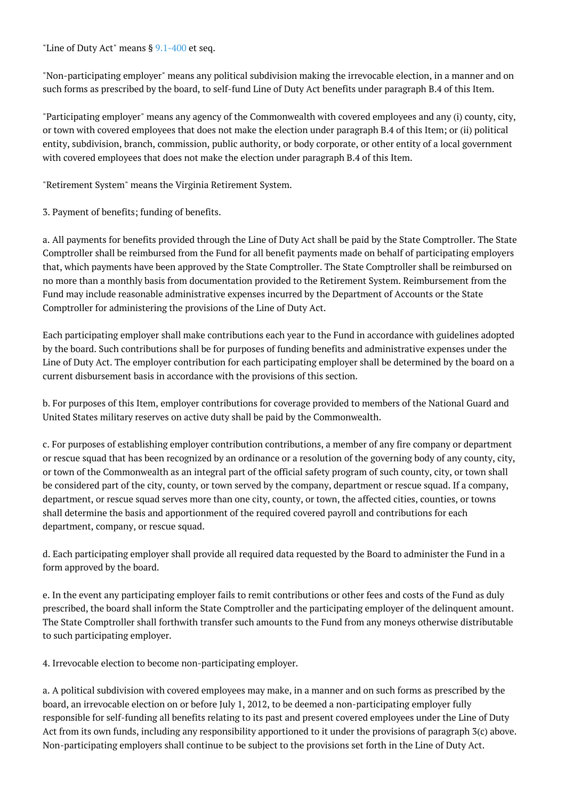"Line of Duty Act" means § [9.1-400](http://law.lis.virginia.gov/vacode/9.1-400/) et seq.

"Non-participating employer" means any political subdivision making the irrevocable election, in a manner and on such forms as prescribed by the board, to self-fund Line of Duty Act benefits under paragraph B.4 of this Item.

"Participating employer" means any agency of the Commonwealth with covered employees and any (i) county, city, or town with covered employees that does not make the election under paragraph B.4 of this Item; or (ii) political entity, subdivision, branch, commission, public authority, or body corporate, or other entity of a local government with covered employees that does not make the election under paragraph B.4 of this Item.

"Retirement System" means the Virginia Retirement System.

3. Payment of benefits; funding of benefits.

a. All payments for benefits provided through the Line of Duty Act shall be paid by the State Comptroller. The State Comptroller shall be reimbursed from the Fund for all benefit payments made on behalf of participating employers that, which payments have been approved by the State Comptroller. The State Comptroller shall be reimbursed on no more than a monthly basis from documentation provided to the Retirement System. Reimbursement from the Fund may include reasonable administrative expenses incurred by the Department of Accounts or the State Comptroller for administering the provisions of the Line of Duty Act.

Each participating employer shall make contributions each year to the Fund in accordance with guidelines adopted by the board. Such contributions shall be for purposes of funding benefits and administrative expenses under the Line of Duty Act. The employer contribution for each participating employer shall be determined by the board on a current disbursement basis in accordance with the provisions of this section.

b. For purposes of this Item, employer contributions for coverage provided to members of the National Guard and United States military reserves on active duty shall be paid by the Commonwealth.

c. For purposes of establishing employer contribution contributions, a member of any fire company or department or rescue squad that has been recognized by an ordinance or a resolution of the governing body of any county, city, or town of the Commonwealth as an integral part of the official safety program of such county, city, or town shall be considered part of the city, county, or town served by the company, department or rescue squad. If a company, department, or rescue squad serves more than one city, county, or town, the affected cities, counties, or towns shall determine the basis and apportionment of the required covered payroll and contributions for each department, company, or rescue squad.

d. Each participating employer shall provide all required data requested by the Board to administer the Fund in a form approved by the board.

e. In the event any participating employer fails to remit contributions or other fees and costs of the Fund as duly prescribed, the board shall inform the State Comptroller and the participating employer of the delinquent amount. The State Comptroller shall forthwith transfer such amounts to the Fund from any moneys otherwise distributable to such participating employer.

4. Irrevocable election to become non-participating employer.

a. A political subdivision with covered employees may make, in a manner and on such forms as prescribed by the board, an irrevocable election on or before July 1, 2012, to be deemed a non-participating employer fully responsible for self-funding all benefits relating to its past and present covered employees under the Line of Duty Act from its own funds, including any responsibility apportioned to it under the provisions of paragraph 3(c) above. Non-participating employers shall continue to be subject to the provisions set forth in the Line of Duty Act.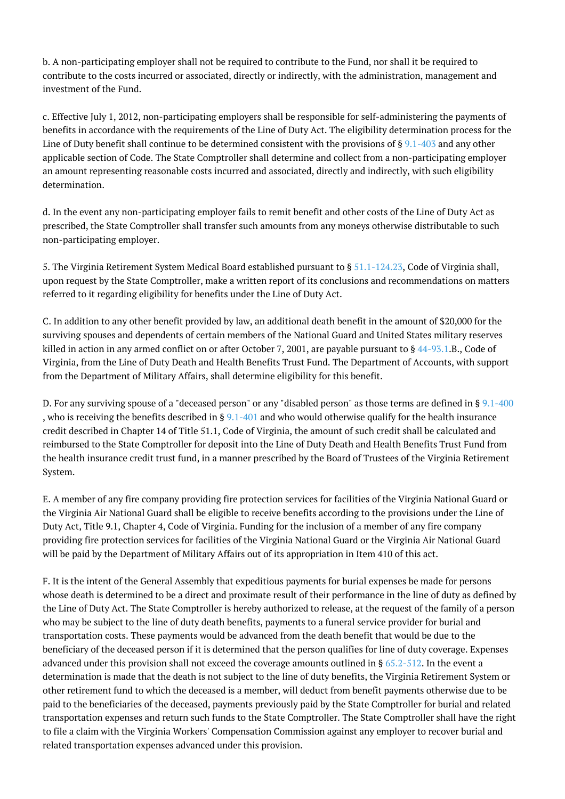b. A non-participating employer shall not be required to contribute to the Fund, nor shall it be required to contribute to the costs incurred or associated, directly or indirectly, with the administration, management and investment of the Fund.

c. Effective July 1, 2012, non-participating employers shall be responsible for self-administering the payments of benefits in accordance with the requirements of the Line of Duty Act. The eligibility determination process for the Line of Duty benefit shall continue to be determined consistent with the provisions of  $\S$  [9.1-403](http://law.lis.virginia.gov/vacode/9.1-403/) and any other applicable section of Code. The State Comptroller shall determine and collect from a non-participating employer an amount representing reasonable costs incurred and associated, directly and indirectly, with such eligibility determination.

d. In the event any non-participating employer fails to remit benefit and other costs of the Line of Duty Act as prescribed, the State Comptroller shall transfer such amounts from any moneys otherwise distributable to such non-participating employer.

5. The Virginia Retirement System Medical Board established pursuant to § [51.1-124.23](http://law.lis.virginia.gov/vacode/51.1-124.23/), Code of Virginia shall, upon request by the State Comptroller, make a written report of its conclusions and recommendations on matters referred to it regarding eligibility for benefits under the Line of Duty Act.

C. In addition to any other benefit provided by law, an additional death benefit in the amount of \$20,000 for the surviving spouses and dependents of certain members of the National Guard and United States military reserves killed in action in any armed conflict on or after October 7, 2001, are payable pursuant to § [44-93.1.](http://law.lis.virginia.gov/vacode/44-93.1/)B., Code of Virginia, from the Line of Duty Death and Health Benefits Trust Fund. The Department of Accounts, with support from the Department of Military Affairs, shall determine eligibility for this benefit.

D. For any surviving spouse of a "deceased person" or any "disabled person" as those terms are defined in § [9.1-400](http://law.lis.virginia.gov/vacode/9.1-400/) , who is receiving the benefits described in §  $9.1-401$  and who would otherwise qualify for the health insurance credit described in Chapter 14 of Title 51.1, Code of Virginia, the amount of such credit shall be calculated and reimbursed to the State Comptroller for deposit into the Line of Duty Death and Health Benefits Trust Fund from the health insurance credit trust fund, in a manner prescribed by the Board of Trustees of the Virginia Retirement System.

E. A member of any fire company providing fire protection services for facilities of the Virginia National Guard or the Virginia Air National Guard shall be eligible to receive benefits according to the provisions under the Line of Duty Act, Title 9.1, Chapter 4, Code of Virginia. Funding for the inclusion of a member of any fire company providing fire protection services for facilities of the Virginia National Guard or the Virginia Air National Guard will be paid by the Department of Military Affairs out of its appropriation in Item 410 of this act.

F. It is the intent of the General Assembly that expeditious payments for burial expenses be made for persons whose death is determined to be a direct and proximate result of their performance in the line of duty as defined by the Line of Duty Act. The State Comptroller is hereby authorized to release, at the request of the family of a person who may be subject to the line of duty death benefits, payments to a funeral service provider for burial and transportation costs. These payments would be advanced from the death benefit that would be due to the beneficiary of the deceased person if it is determined that the person qualifies for line of duty coverage. Expenses advanced under this provision shall not exceed the coverage amounts outlined in §  $65.2-512$ . In the event a determination is made that the death is not subject to the line of duty benefits, the Virginia Retirement System or other retirement fund to which the deceased is a member, will deduct from benefit payments otherwise due to be paid to the beneficiaries of the deceased, payments previously paid by the State Comptroller for burial and related transportation expenses and return such funds to the State Comptroller. The State Comptroller shall have the right to file a claim with the Virginia Workers' Compensation Commission against any employer to recover burial and related transportation expenses advanced under this provision.